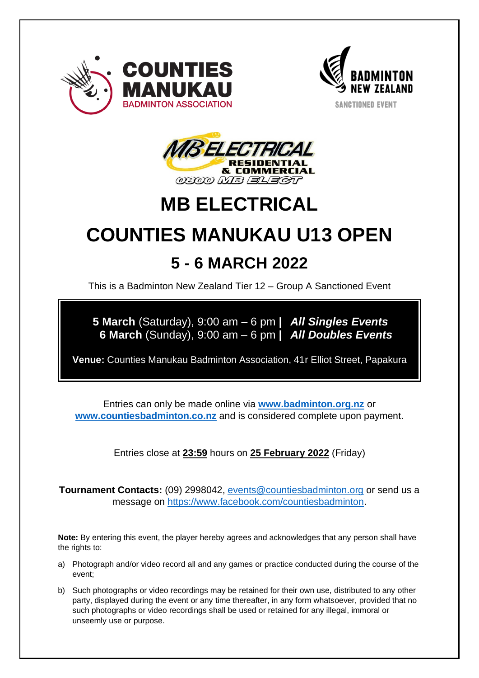



**SANCTIONED EVENT** 



## **MB ELECTRICAL**

# **COUNTIES MANUKAU U13 OPEN 5 - 6 MARCH 2022**

This is a Badminton New Zealand Tier 12 – Group A Sanctioned Event

**5 March** (Saturday), 9:00 am – 6 pm **|** *All Singles Events* **6 March** (Sunday), 9:00 am – 6 pm **|** *All Doubles Events*

**Venue:** Counties Manukau Badminton Association, 41r Elliot Street, Papakura

Entries can only be made online via **[www.badminton.org.nz](http://www.badminton.org.nz/)** or **[www.countiesbadminton.co.nz](http://www.countiesbadminton.co.nz/)** and is considered complete upon payment.

Entries close at **23:59** hours on **25 February 2022** (Friday)

**Tournament Contacts:** (09) 2998042, [events@countiesbadminton.org](mailto:events@countiesbadminton.org) or send us a message on [https://www.facebook.com/countiesbadminton.](https://www.facebook.com/countiesbadminton)

**Note:** By entering this event, the player hereby agrees and acknowledges that any person shall have the rights to:

- a) Photograph and/or video record all and any games or practice conducted during the course of the event;
- b) Such photographs or video recordings may be retained for their own use, distributed to any other party, displayed during the event or any time thereafter, in any form whatsoever, provided that no such photographs or video recordings shall be used or retained for any illegal, immoral or unseemly use or purpose.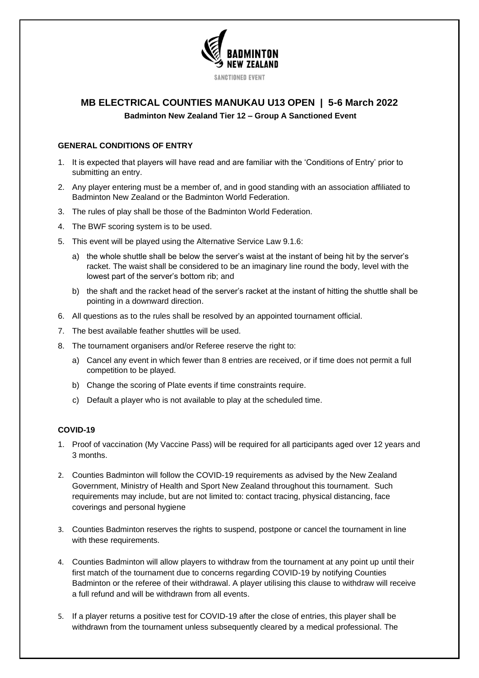

### **MB ELECTRICAL COUNTIES MANUKAU U13 OPEN | 5-6 March 2022 Badminton New Zealand Tier 12 – Group A Sanctioned Event**

#### **GENERAL CONDITIONS OF ENTRY**

- 1. It is expected that players will have read and are familiar with the 'Conditions of Entry' prior to submitting an entry.
- 2. Any player entering must be a member of, and in good standing with an association affiliated to Badminton New Zealand or the Badminton World Federation.
- 3. The rules of play shall be those of the Badminton World Federation.
- 4. The BWF scoring system is to be used.
- 5. This event will be played using the Alternative Service Law 9.1.6:
	- a) the whole shuttle shall be below the server's waist at the instant of being hit by the server's racket. The waist shall be considered to be an imaginary line round the body, level with the lowest part of the server's bottom rib; and
	- b) the shaft and the racket head of the server's racket at the instant of hitting the shuttle shall be pointing in a downward direction.
- 6. All questions as to the rules shall be resolved by an appointed tournament official.
- 7. The best available feather shuttles will be used.
- 8. The tournament organisers and/or Referee reserve the right to:
	- a) Cancel any event in which fewer than 8 entries are received, or if time does not permit a full competition to be played.
	- b) Change the scoring of Plate events if time constraints require.
	- c) Default a player who is not available to play at the scheduled time.

#### **COVID-19**

- 1. Proof of vaccination (My Vaccine Pass) will be required for all participants aged over 12 years and 3 months.
- 2. Counties Badminton will follow the COVID-19 requirements as advised by the New Zealand Government, Ministry of Health and Sport New Zealand throughout this tournament. Such requirements may include, but are not limited to: contact tracing, physical distancing, face coverings and personal hygiene
- 3. Counties Badminton reserves the rights to suspend, postpone or cancel the tournament in line with these requirements.
- 4. Counties Badminton will allow players to withdraw from the tournament at any point up until their first match of the tournament due to concerns regarding COVID-19 by notifying Counties Badminton or the referee of their withdrawal. A player utilising this clause to withdraw will receive a full refund and will be withdrawn from all events.
- 5. If a player returns a positive test for COVID-19 after the close of entries, this player shall be withdrawn from the tournament unless subsequently cleared by a medical professional. The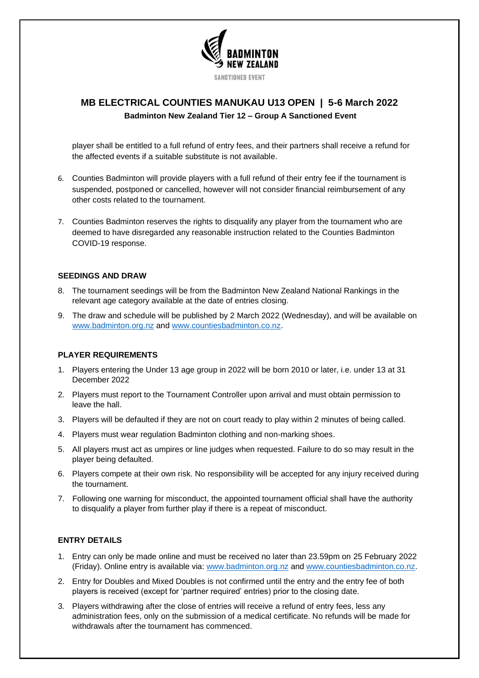

## **MB ELECTRICAL COUNTIES MANUKAU U13 OPEN | 5-6 March 2022 Badminton New Zealand Tier 12 – Group A Sanctioned Event**

player shall be entitled to a full refund of entry fees, and their partners shall receive a refund for the affected events if a suitable substitute is not available.

- 6. Counties Badminton will provide players with a full refund of their entry fee if the tournament is suspended, postponed or cancelled, however will not consider financial reimbursement of any other costs related to the tournament.
- 7. Counties Badminton reserves the rights to disqualify any player from the tournament who are deemed to have disregarded any reasonable instruction related to the Counties Badminton COVID-19 response.

#### **SEEDINGS AND DRAW**

- 8. The tournament seedings will be from the Badminton New Zealand National Rankings in the relevant age category available at the date of entries closing.
- 9. The draw and schedule will be published by 2 March 2022 (Wednesday), and will be available on [www.badminton.org.nz](http://www.badminton.org.nz/) and [www.countiesbadminton.co.nz.](http://www.countiesbadminton.co.nz/)

#### **PLAYER REQUIREMENTS**

- 1. Players entering the Under 13 age group in 2022 will be born 2010 or later, i.e. under 13 at 31 December 2022
- 2. Players must report to the Tournament Controller upon arrival and must obtain permission to leave the hall.
- 3. Players will be defaulted if they are not on court ready to play within 2 minutes of being called.
- 4. Players must wear regulation Badminton clothing and non-marking shoes.
- 5. All players must act as umpires or line judges when requested. Failure to do so may result in the player being defaulted.
- 6. Players compete at their own risk. No responsibility will be accepted for any injury received during the tournament.
- 7. Following one warning for misconduct, the appointed tournament official shall have the authority to disqualify a player from further play if there is a repeat of misconduct.

#### **ENTRY DETAILS**

- 1. Entry can only be made online and must be received no later than 23.59pm on 25 February 2022 (Friday). Online entry is available via: [www.badminton.org.nz](http://www.badminton.org.nz/) and [www.countiesbadminton.co.nz.](http://www.countiesbadminton.co.nz/)
- 2. Entry for Doubles and Mixed Doubles is not confirmed until the entry and the entry fee of both players is received (except for 'partner required' entries) prior to the closing date.
- 3. Players withdrawing after the close of entries will receive a refund of entry fees, less any administration fees, only on the submission of a medical certificate. No refunds will be made for withdrawals after the tournament has commenced.